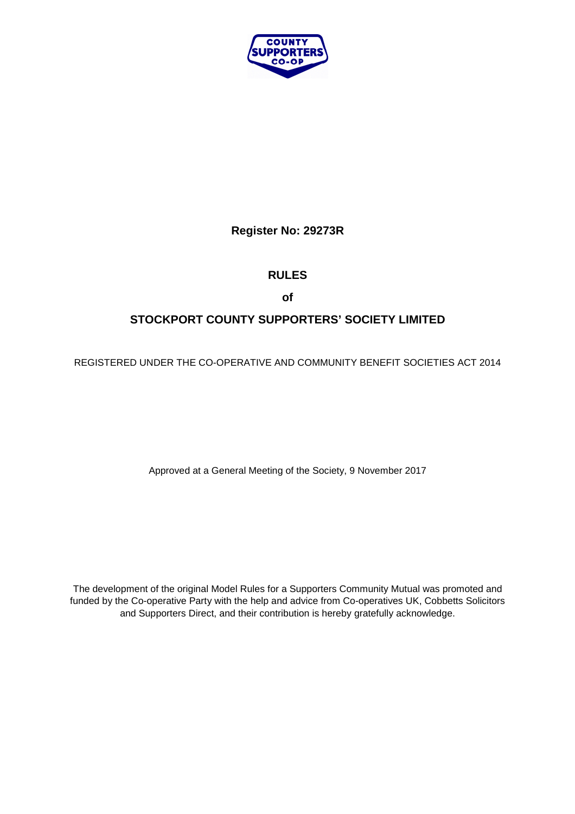

**Register No: 29273R** 

# **RULES**

**of** 

# **STOCKPORT COUNTY SUPPORTERS' SOCIETY LIMITED**

REGISTERED UNDER THE CO-OPERATIVE AND COMMUNITY BENEFIT SOCIETIES ACT 2014

Approved at a General Meeting of the Society, 9 November 2017

The development of the original Model Rules for a Supporters Community Mutual was promoted and funded by the Co-operative Party with the help and advice from Co-operatives UK, Cobbetts Solicitors and Supporters Direct, and their contribution is hereby gratefully acknowledge.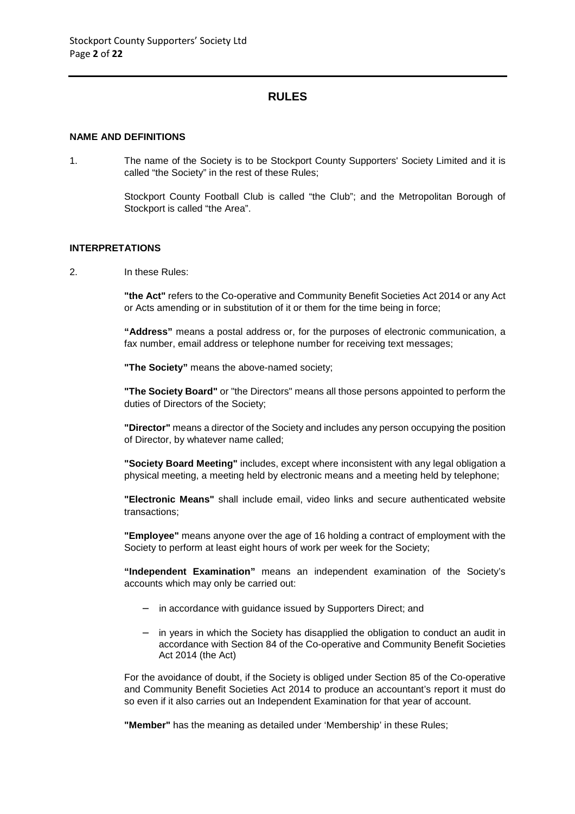# **RULES**

## **NAME AND DEFINITIONS**

1. The name of the Society is to be Stockport County Supporters' Society Limited and it is called "the Society" in the rest of these Rules;

> Stockport County Football Club is called "the Club"; and the Metropolitan Borough of Stockport is called "the Area".

## **INTERPRETATIONS**

2. In these Rules:

**"the Act"** refers to the Co-operative and Community Benefit Societies Act 2014 or any Act or Acts amending or in substitution of it or them for the time being in force;

**"Address"** means a postal address or, for the purposes of electronic communication, a fax number, email address or telephone number for receiving text messages;

**"The Society"** means the above-named society;

**"The Society Board"** or "the Directors" means all those persons appointed to perform the duties of Directors of the Society;

**"Director"** means a director of the Society and includes any person occupying the position of Director, by whatever name called;

**"Society Board Meeting"** includes, except where inconsistent with any legal obligation a physical meeting, a meeting held by electronic means and a meeting held by telephone;

**"Electronic Means"** shall include email, video links and secure authenticated website transactions;

**"Employee"** means anyone over the age of 16 holding a contract of employment with the Society to perform at least eight hours of work per week for the Society;

**"Independent Examination"** means an independent examination of the Society's accounts which may only be carried out:

- − in accordance with guidance issued by Supporters Direct; and
- − in years in which the Society has disapplied the obligation to conduct an audit in accordance with Section 84 of the Co-operative and Community Benefit Societies Act 2014 (the Act)

For the avoidance of doubt, if the Society is obliged under Section 85 of the Co-operative and Community Benefit Societies Act 2014 to produce an accountant's report it must do so even if it also carries out an Independent Examination for that year of account.

**"Member"** has the meaning as detailed under 'Membership' in these Rules;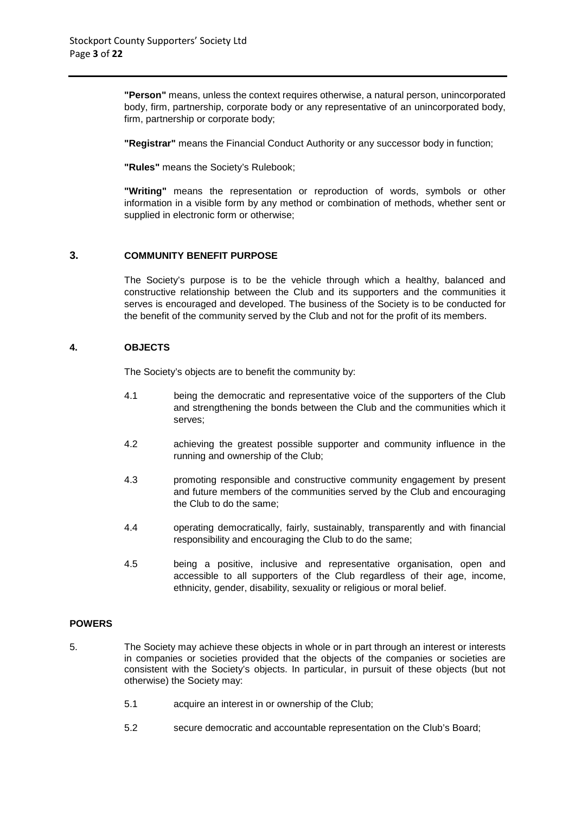**"Person"** means, unless the context requires otherwise, a natural person, unincorporated body, firm, partnership, corporate body or any representative of an unincorporated body, firm, partnership or corporate body;

**"Registrar"** means the Financial Conduct Authority or any successor body in function;

**"Rules"** means the Society's Rulebook;

**"Writing"** means the representation or reproduction of words, symbols or other information in a visible form by any method or combination of methods, whether sent or supplied in electronic form or otherwise;

# **3. COMMUNITY BENEFIT PURPOSE**

The Society's purpose is to be the vehicle through which a healthy, balanced and constructive relationship between the Club and its supporters and the communities it serves is encouraged and developed. The business of the Society is to be conducted for the benefit of the community served by the Club and not for the profit of its members.

# **4. OBJECTS**

The Society's objects are to benefit the community by:

- 4.1 being the democratic and representative voice of the supporters of the Club and strengthening the bonds between the Club and the communities which it serves;
- 4.2 achieving the greatest possible supporter and community influence in the running and ownership of the Club;
- 4.3 promoting responsible and constructive community engagement by present and future members of the communities served by the Club and encouraging the Club to do the same;
- 4.4 operating democratically, fairly, sustainably, transparently and with financial responsibility and encouraging the Club to do the same;
- 4.5 being a positive, inclusive and representative organisation, open and accessible to all supporters of the Club regardless of their age, income, ethnicity, gender, disability, sexuality or religious or moral belief.

# **POWERS**

- 5. The Society may achieve these objects in whole or in part through an interest or interests in companies or societies provided that the objects of the companies or societies are consistent with the Society's objects. In particular, in pursuit of these objects (but not otherwise) the Society may:
	- 5.1 acquire an interest in or ownership of the Club;
	- 5.2 secure democratic and accountable representation on the Club's Board;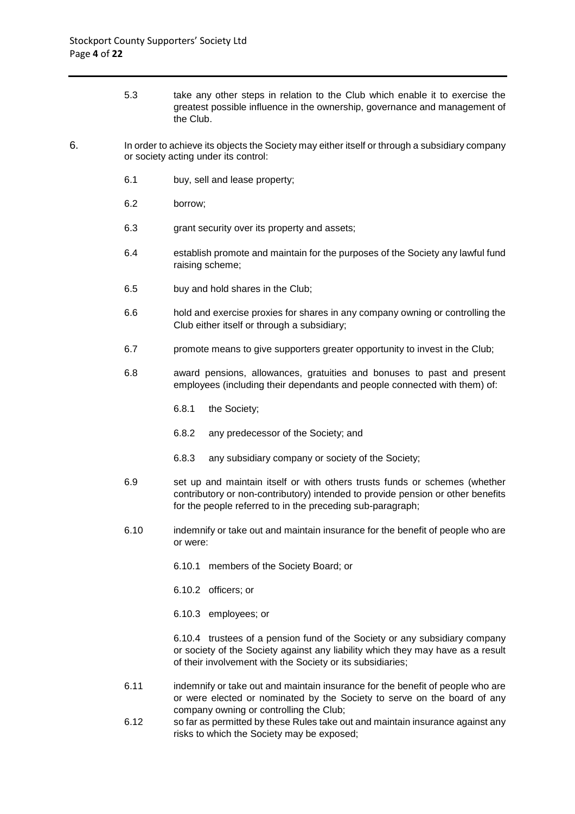- 5.3 take any other steps in relation to the Club which enable it to exercise the greatest possible influence in the ownership, governance and management of the Club.
- 6. In order to achieve its objects the Society may either itself or through a subsidiary company or society acting under its control:
	- 6.1 buy, sell and lease property;
	- 6.2 borrow;
	- 6.3 grant security over its property and assets;
	- 6.4 establish promote and maintain for the purposes of the Society any lawful fund raising scheme;
	- 6.5 buy and hold shares in the Club;
	- 6.6 hold and exercise proxies for shares in any company owning or controlling the Club either itself or through a subsidiary;
	- 6.7 promote means to give supporters greater opportunity to invest in the Club;
	- 6.8 award pensions, allowances, gratuities and bonuses to past and present employees (including their dependants and people connected with them) of:
		- 6.8.1 the Society;
		- 6.8.2 any predecessor of the Society; and
		- 6.8.3 any subsidiary company or society of the Society;
	- 6.9 set up and maintain itself or with others trusts funds or schemes (whether contributory or non-contributory) intended to provide pension or other benefits for the people referred to in the preceding sub-paragraph;
	- 6.10 indemnify or take out and maintain insurance for the benefit of people who are or were:
		- 6.10.1 members of the Society Board; or
		- 6.10.2 officers; or
		- 6.10.3 employees; or

6.10.4 trustees of a pension fund of the Society or any subsidiary company or society of the Society against any liability which they may have as a result of their involvement with the Society or its subsidiaries;

- 6.11 indemnify or take out and maintain insurance for the benefit of people who are or were elected or nominated by the Society to serve on the board of any company owning or controlling the Club;
- 6.12 so far as permitted by these Rules take out and maintain insurance against any risks to which the Society may be exposed;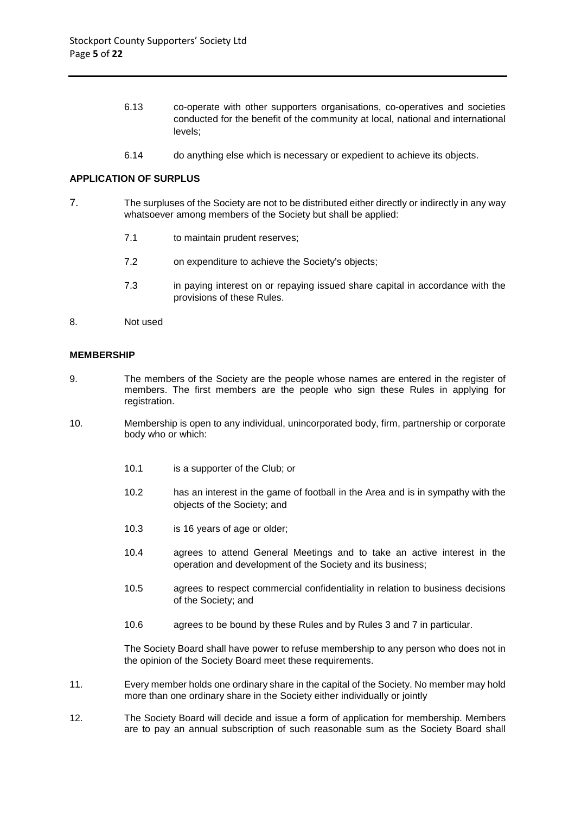- 6.13 co-operate with other supporters organisations, co-operatives and societies conducted for the benefit of the community at local, national and international levels;
- 6.14 do anything else which is necessary or expedient to achieve its objects.

## **APPLICATION OF SURPLUS**

- 7. The surpluses of the Society are not to be distributed either directly or indirectly in any way whatsoever among members of the Society but shall be applied:
	- 7.1 to maintain prudent reserves;
	- 7.2 on expenditure to achieve the Society's objects;
	- 7.3 in paying interest on or repaying issued share capital in accordance with the provisions of these Rules.
- 8. Not used

#### **MEMBERSHIP**

- 9. The members of the Society are the people whose names are entered in the register of members. The first members are the people who sign these Rules in applying for registration.
- 10. Membership is open to any individual, unincorporated body, firm, partnership or corporate body who or which:
	- 10.1 is a supporter of the Club; or
	- 10.2 has an interest in the game of football in the Area and is in sympathy with the objects of the Society; and
	- 10.3 is 16 years of age or older;
	- 10.4 agrees to attend General Meetings and to take an active interest in the operation and development of the Society and its business;
	- 10.5 agrees to respect commercial confidentiality in relation to business decisions of the Society; and
	- 10.6 agrees to be bound by these Rules and by Rules 3 and 7 in particular.

The Society Board shall have power to refuse membership to any person who does not in the opinion of the Society Board meet these requirements.

- 11. Every member holds one ordinary share in the capital of the Society. No member may hold more than one ordinary share in the Society either individually or jointly
- 12. The Society Board will decide and issue a form of application for membership. Members are to pay an annual subscription of such reasonable sum as the Society Board shall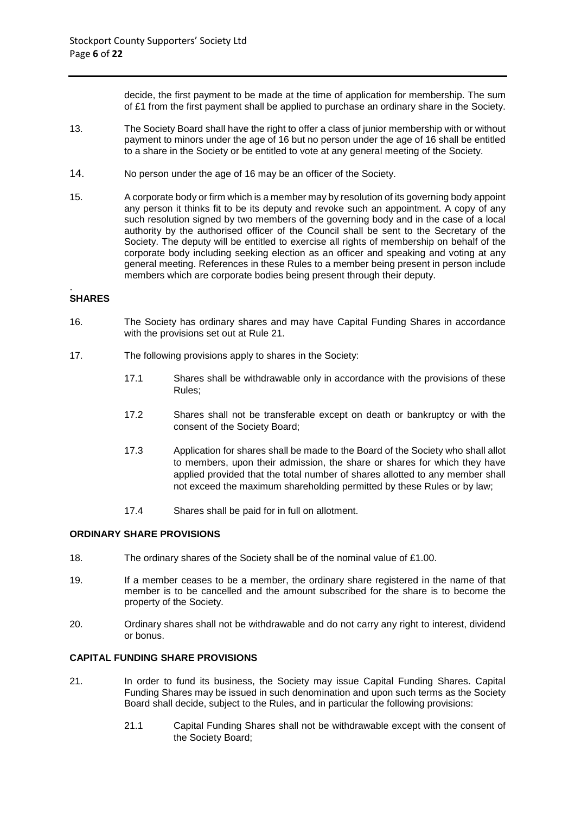decide, the first payment to be made at the time of application for membership. The sum of £1 from the first payment shall be applied to purchase an ordinary share in the Society.

- 13. The Society Board shall have the right to offer a class of junior membership with or without payment to minors under the age of 16 but no person under the age of 16 shall be entitled to a share in the Society or be entitled to vote at any general meeting of the Society.
- 14. No person under the age of 16 may be an officer of the Society.
- 15. A corporate body or firm which is a member may by resolution of its governing body appoint any person it thinks fit to be its deputy and revoke such an appointment. A copy of any such resolution signed by two members of the governing body and in the case of a local authority by the authorised officer of the Council shall be sent to the Secretary of the Society. The deputy will be entitled to exercise all rights of membership on behalf of the corporate body including seeking election as an officer and speaking and voting at any general meeting. References in these Rules to a member being present in person include members which are corporate bodies being present through their deputy.

#### . **SHARES**

- 16. The Society has ordinary shares and may have Capital Funding Shares in accordance with the provisions set out at Rule 21.
- 17. The following provisions apply to shares in the Society:
	- 17.1 Shares shall be withdrawable only in accordance with the provisions of these Rules;
	- 17.2 Shares shall not be transferable except on death or bankruptcy or with the consent of the Society Board;
	- 17.3 Application for shares shall be made to the Board of the Society who shall allot to members, upon their admission, the share or shares for which they have applied provided that the total number of shares allotted to any member shall not exceed the maximum shareholding permitted by these Rules or by law;
	- 17.4 Shares shall be paid for in full on allotment.

## **ORDINARY SHARE PROVISIONS**

- 18. The ordinary shares of the Society shall be of the nominal value of £1.00.
- 19. If a member ceases to be a member, the ordinary share registered in the name of that member is to be cancelled and the amount subscribed for the share is to become the property of the Society.
- 20. Ordinary shares shall not be withdrawable and do not carry any right to interest, dividend or bonus.

# **CAPITAL FUNDING SHARE PROVISIONS**

- 21. In order to fund its business, the Society may issue Capital Funding Shares. Capital Funding Shares may be issued in such denomination and upon such terms as the Society Board shall decide, subject to the Rules, and in particular the following provisions:
	- 21.1 Capital Funding Shares shall not be withdrawable except with the consent of the Society Board;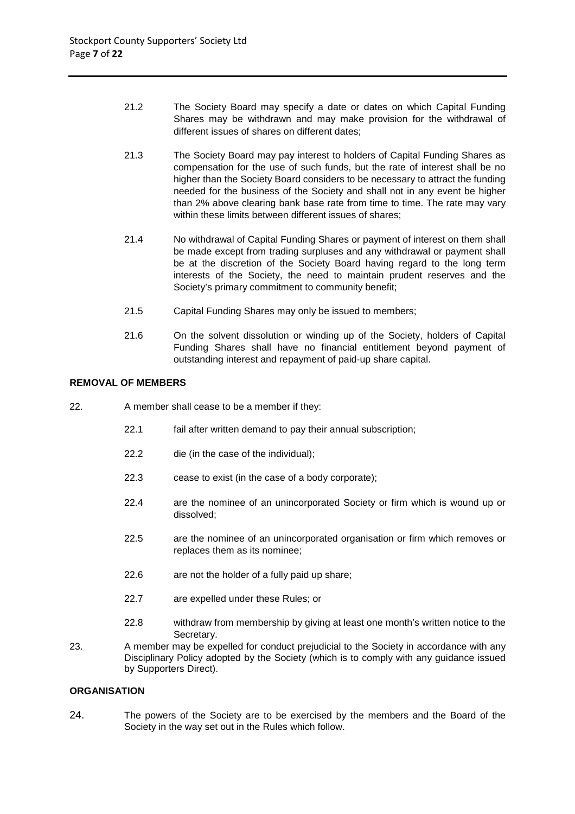- 21.2 The Society Board may specify a date or dates on which Capital Funding Shares may be withdrawn and may make provision for the withdrawal of different issues of shares on different dates;
- 21.3 The Society Board may pay interest to holders of Capital Funding Shares as compensation for the use of such funds, but the rate of interest shall be no higher than the Society Board considers to be necessary to attract the funding needed for the business of the Society and shall not in any event be higher than 2% above clearing bank base rate from time to time. The rate may vary within these limits between different issues of shares;
- 21.4 No withdrawal of Capital Funding Shares or payment of interest on them shall be made except from trading surpluses and any withdrawal or payment shall be at the discretion of the Society Board having regard to the long term interests of the Society, the need to maintain prudent reserves and the Society's primary commitment to community benefit;
- 21.5 Capital Funding Shares may only be issued to members;
- 21.6 On the solvent dissolution or winding up of the Society, holders of Capital Funding Shares shall have no financial entitlement beyond payment of outstanding interest and repayment of paid-up share capital.

## **REMOVAL OF MEMBERS**

- 22. A member shall cease to be a member if they:
	- 22.1 fail after written demand to pay their annual subscription;
	- 22.2 die (in the case of the individual);
	- 22.3 cease to exist (in the case of a body corporate);
	- 22.4 are the nominee of an unincorporated Society or firm which is wound up or dissolved;
	- 22.5 are the nominee of an unincorporated organisation or firm which removes or replaces them as its nominee;
	- 22.6 are not the holder of a fully paid up share;
	- 22.7 are expelled under these Rules; or
	- 22.8 withdraw from membership by giving at least one month's written notice to the Secretary.
- 23. A member may be expelled for conduct prejudicial to the Society in accordance with any Disciplinary Policy adopted by the Society (which is to comply with any guidance issued by Supporters Direct).

# **ORGANISATION**

24. The powers of the Society are to be exercised by the members and the Board of the Society in the way set out in the Rules which follow.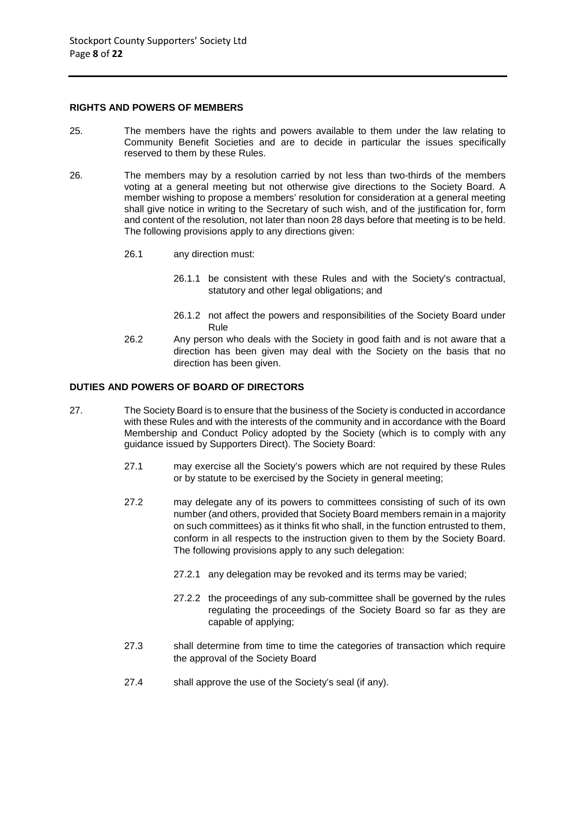#### **RIGHTS AND POWERS OF MEMBERS**

- 25. The members have the rights and powers available to them under the law relating to Community Benefit Societies and are to decide in particular the issues specifically reserved to them by these Rules.
- 26. The members may by a resolution carried by not less than two-thirds of the members voting at a general meeting but not otherwise give directions to the Society Board. A member wishing to propose a members' resolution for consideration at a general meeting shall give notice in writing to the Secretary of such wish, and of the justification for, form and content of the resolution, not later than noon 28 days before that meeting is to be held. The following provisions apply to any directions given:
	- 26.1 any direction must:
		- 26.1.1 be consistent with these Rules and with the Society's contractual, statutory and other legal obligations; and
		- 26.1.2 not affect the powers and responsibilities of the Society Board under Rule
	- 26.2 Any person who deals with the Society in good faith and is not aware that a direction has been given may deal with the Society on the basis that no direction has been given.

# **DUTIES AND POWERS OF BOARD OF DIRECTORS**

- 27. The Society Board is to ensure that the business of the Society is conducted in accordance with these Rules and with the interests of the community and in accordance with the Board Membership and Conduct Policy adopted by the Society (which is to comply with any guidance issued by Supporters Direct). The Society Board:
	- 27.1 may exercise all the Society's powers which are not required by these Rules or by statute to be exercised by the Society in general meeting;
	- 27.2 may delegate any of its powers to committees consisting of such of its own number (and others, provided that Society Board members remain in a majority on such committees) as it thinks fit who shall, in the function entrusted to them, conform in all respects to the instruction given to them by the Society Board. The following provisions apply to any such delegation:
		- 27.2.1 any delegation may be revoked and its terms may be varied;
		- 27.2.2 the proceedings of any sub-committee shall be governed by the rules regulating the proceedings of the Society Board so far as they are capable of applying;
	- 27.3 shall determine from time to time the categories of transaction which require the approval of the Society Board
	- 27.4 shall approve the use of the Society's seal (if any).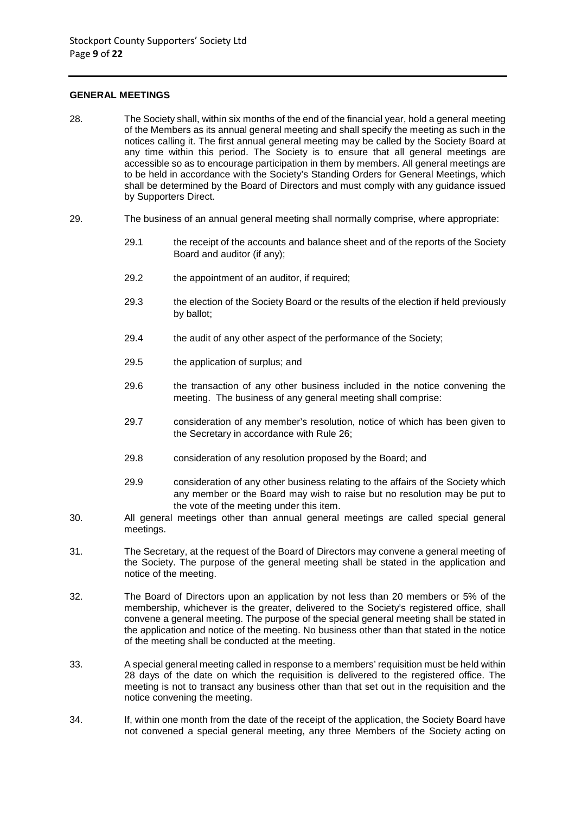#### **GENERAL MEETINGS**

- 28. The Society shall, within six months of the end of the financial year, hold a general meeting of the Members as its annual general meeting and shall specify the meeting as such in the notices calling it. The first annual general meeting may be called by the Society Board at any time within this period. The Society is to ensure that all general meetings are accessible so as to encourage participation in them by members. All general meetings are to be held in accordance with the Society's Standing Orders for General Meetings, which shall be determined by the Board of Directors and must comply with any guidance issued by Supporters Direct.
- 29. The business of an annual general meeting shall normally comprise, where appropriate:
	- 29.1 the receipt of the accounts and balance sheet and of the reports of the Society Board and auditor (if any);
	- 29.2 the appointment of an auditor, if required:
	- 29.3 the election of the Society Board or the results of the election if held previously by ballot;
	- 29.4 the audit of any other aspect of the performance of the Society;
	- 29.5 the application of surplus; and
	- 29.6 the transaction of any other business included in the notice convening the meeting. The business of any general meeting shall comprise:
	- 29.7 consideration of any member's resolution, notice of which has been given to the Secretary in accordance with Rule 26;
	- 29.8 consideration of any resolution proposed by the Board; and
	- 29.9 consideration of any other business relating to the affairs of the Society which any member or the Board may wish to raise but no resolution may be put to the vote of the meeting under this item.
- 30. All general meetings other than annual general meetings are called special general meetings.
- 31. The Secretary, at the request of the Board of Directors may convene a general meeting of the Society. The purpose of the general meeting shall be stated in the application and notice of the meeting.
- 32. The Board of Directors upon an application by not less than 20 members or 5% of the membership, whichever is the greater, delivered to the Society's registered office, shall convene a general meeting. The purpose of the special general meeting shall be stated in the application and notice of the meeting. No business other than that stated in the notice of the meeting shall be conducted at the meeting.
- 33. A special general meeting called in response to a members' requisition must be held within 28 days of the date on which the requisition is delivered to the registered office. The meeting is not to transact any business other than that set out in the requisition and the notice convening the meeting.
- 34. If, within one month from the date of the receipt of the application, the Society Board have not convened a special general meeting, any three Members of the Society acting on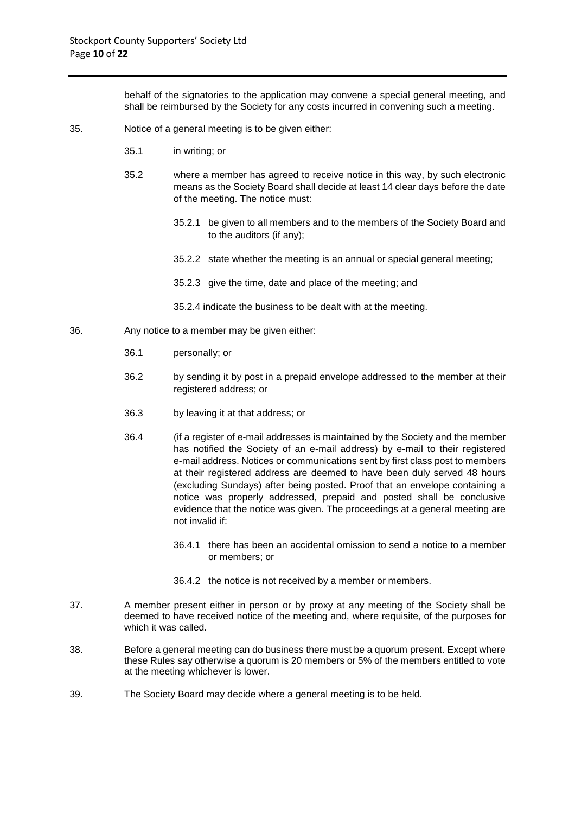behalf of the signatories to the application may convene a special general meeting, and shall be reimbursed by the Society for any costs incurred in convening such a meeting.

- 35. Notice of a general meeting is to be given either:
	- 35.1 in writing; or
	- 35.2 where a member has agreed to receive notice in this way, by such electronic means as the Society Board shall decide at least 14 clear days before the date of the meeting. The notice must:
		- 35.2.1 be given to all members and to the members of the Society Board and to the auditors (if any);
		- 35.2.2 state whether the meeting is an annual or special general meeting;
		- 35.2.3 give the time, date and place of the meeting; and
		- 35.2.4 indicate the business to be dealt with at the meeting.
- 36. Any notice to a member may be given either:
	- 36.1 personally; or
	- 36.2 by sending it by post in a prepaid envelope addressed to the member at their registered address; or
	- 36.3 by leaving it at that address; or
	- 36.4 (if a register of e-mail addresses is maintained by the Society and the member has notified the Society of an e-mail address) by e-mail to their registered e-mail address. Notices or communications sent by first class post to members at their registered address are deemed to have been duly served 48 hours (excluding Sundays) after being posted. Proof that an envelope containing a notice was properly addressed, prepaid and posted shall be conclusive evidence that the notice was given. The proceedings at a general meeting are not invalid if:
		- 36.4.1 there has been an accidental omission to send a notice to a member or members; or
		- 36.4.2 the notice is not received by a member or members.
- 37. A member present either in person or by proxy at any meeting of the Society shall be deemed to have received notice of the meeting and, where requisite, of the purposes for which it was called.
- 38. Before a general meeting can do business there must be a quorum present. Except where these Rules say otherwise a quorum is 20 members or 5% of the members entitled to vote at the meeting whichever is lower.
- 39. The Society Board may decide where a general meeting is to be held.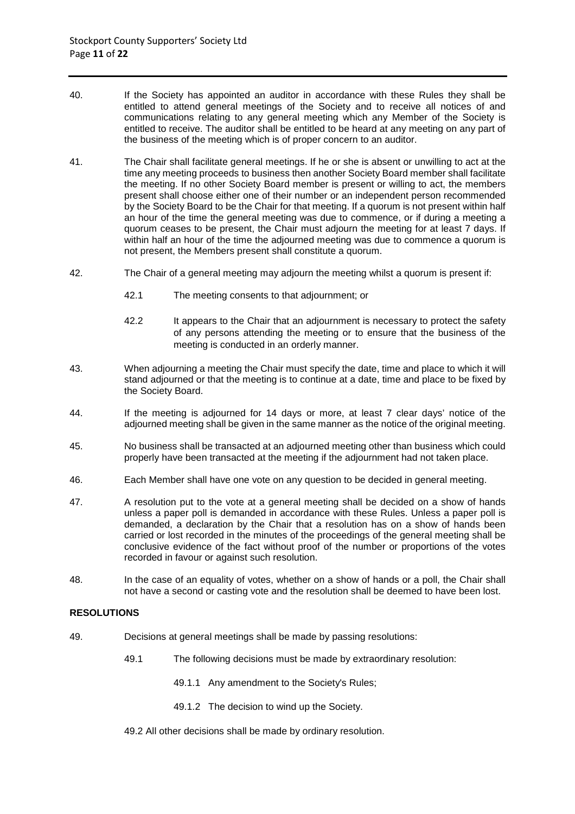- 40. If the Society has appointed an auditor in accordance with these Rules they shall be entitled to attend general meetings of the Society and to receive all notices of and communications relating to any general meeting which any Member of the Society is entitled to receive. The auditor shall be entitled to be heard at any meeting on any part of the business of the meeting which is of proper concern to an auditor.
- 41. The Chair shall facilitate general meetings. If he or she is absent or unwilling to act at the time any meeting proceeds to business then another Society Board member shall facilitate the meeting. If no other Society Board member is present or willing to act, the members present shall choose either one of their number or an independent person recommended by the Society Board to be the Chair for that meeting. If a quorum is not present within half an hour of the time the general meeting was due to commence, or if during a meeting a quorum ceases to be present, the Chair must adjourn the meeting for at least 7 days. If within half an hour of the time the adjourned meeting was due to commence a quorum is not present, the Members present shall constitute a quorum.
- 42. The Chair of a general meeting may adjourn the meeting whilst a quorum is present if:
	- 42.1 The meeting consents to that adjournment; or
	- 42.2 It appears to the Chair that an adjournment is necessary to protect the safety of any persons attending the meeting or to ensure that the business of the meeting is conducted in an orderly manner.
- 43. When adjourning a meeting the Chair must specify the date, time and place to which it will stand adjourned or that the meeting is to continue at a date, time and place to be fixed by the Society Board.
- 44. If the meeting is adjourned for 14 days or more, at least 7 clear days' notice of the adjourned meeting shall be given in the same manner as the notice of the original meeting.
- 45. No business shall be transacted at an adjourned meeting other than business which could properly have been transacted at the meeting if the adjournment had not taken place.
- 46. Each Member shall have one vote on any question to be decided in general meeting.
- 47. A resolution put to the vote at a general meeting shall be decided on a show of hands unless a paper poll is demanded in accordance with these Rules. Unless a paper poll is demanded, a declaration by the Chair that a resolution has on a show of hands been carried or lost recorded in the minutes of the proceedings of the general meeting shall be conclusive evidence of the fact without proof of the number or proportions of the votes recorded in favour or against such resolution.
- 48. In the case of an equality of votes, whether on a show of hands or a poll, the Chair shall not have a second or casting vote and the resolution shall be deemed to have been lost.

# **RESOLUTIONS**

- 49. Decisions at general meetings shall be made by passing resolutions:
	- 49.1 The following decisions must be made by extraordinary resolution:
		- 49.1.1 Any amendment to the Society's Rules;
		- 49.1.2 The decision to wind up the Society.
	- 49.2 All other decisions shall be made by ordinary resolution.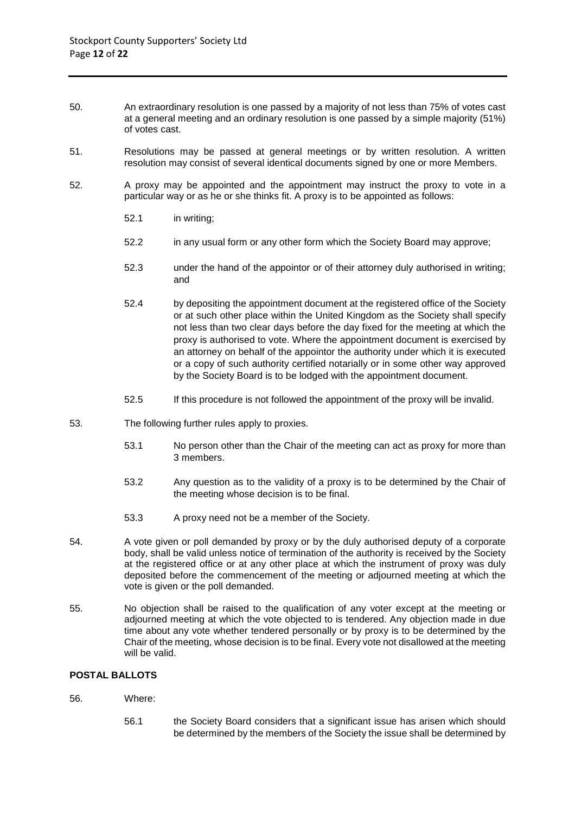- 50. An extraordinary resolution is one passed by a majority of not less than 75% of votes cast at a general meeting and an ordinary resolution is one passed by a simple majority (51%) of votes cast.
- 51. Resolutions may be passed at general meetings or by written resolution. A written resolution may consist of several identical documents signed by one or more Members.
- 52. A proxy may be appointed and the appointment may instruct the proxy to vote in a particular way or as he or she thinks fit. A proxy is to be appointed as follows:
	- 52.1 in writing;
	- 52.2 in any usual form or any other form which the Society Board may approve;
	- 52.3 under the hand of the appointor or of their attorney duly authorised in writing; and
	- 52.4 by depositing the appointment document at the registered office of the Society or at such other place within the United Kingdom as the Society shall specify not less than two clear days before the day fixed for the meeting at which the proxy is authorised to vote. Where the appointment document is exercised by an attorney on behalf of the appointor the authority under which it is executed or a copy of such authority certified notarially or in some other way approved by the Society Board is to be lodged with the appointment document.
	- 52.5 If this procedure is not followed the appointment of the proxy will be invalid.
- 53. The following further rules apply to proxies.
	- 53.1 No person other than the Chair of the meeting can act as proxy for more than 3 members.
	- 53.2 Any question as to the validity of a proxy is to be determined by the Chair of the meeting whose decision is to be final.
	- 53.3 A proxy need not be a member of the Society.
- 54. A vote given or poll demanded by proxy or by the duly authorised deputy of a corporate body, shall be valid unless notice of termination of the authority is received by the Society at the registered office or at any other place at which the instrument of proxy was duly deposited before the commencement of the meeting or adjourned meeting at which the vote is given or the poll demanded.
- 55. No objection shall be raised to the qualification of any voter except at the meeting or adjourned meeting at which the vote objected to is tendered. Any objection made in due time about any vote whether tendered personally or by proxy is to be determined by the Chair of the meeting, whose decision is to be final. Every vote not disallowed at the meeting will be valid.

# **POSTAL BALLOTS**

- 56. Where:
	- 56.1 the Society Board considers that a significant issue has arisen which should be determined by the members of the Society the issue shall be determined by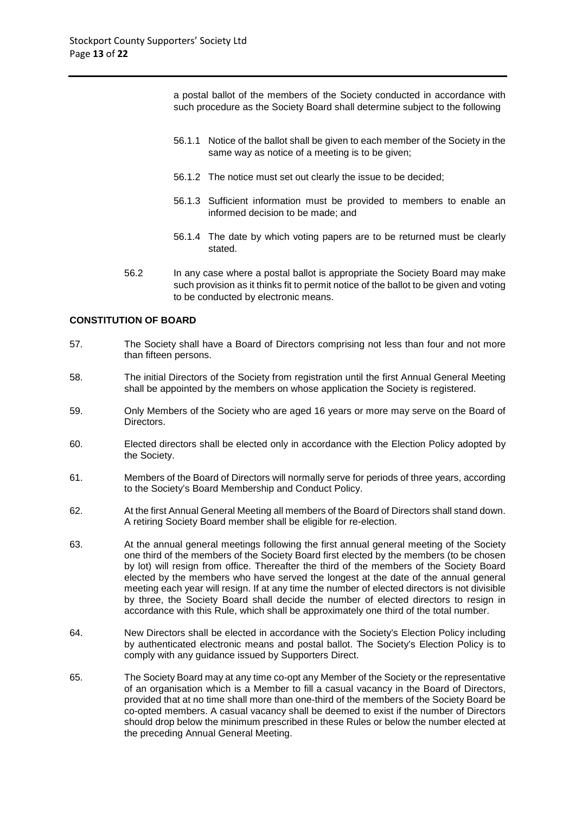a postal ballot of the members of the Society conducted in accordance with such procedure as the Society Board shall determine subject to the following

- 56.1.1 Notice of the ballot shall be given to each member of the Society in the same way as notice of a meeting is to be given;
- 56.1.2 The notice must set out clearly the issue to be decided;
- 56.1.3 Sufficient information must be provided to members to enable an informed decision to be made; and
- 56.1.4 The date by which voting papers are to be returned must be clearly stated.
- 56.2 In any case where a postal ballot is appropriate the Society Board may make such provision as it thinks fit to permit notice of the ballot to be given and voting to be conducted by electronic means.

## **CONSTITUTION OF BOARD**

- 57. The Society shall have a Board of Directors comprising not less than four and not more than fifteen persons.
- 58. The initial Directors of the Society from registration until the first Annual General Meeting shall be appointed by the members on whose application the Society is registered.
- 59. Only Members of the Society who are aged 16 years or more may serve on the Board of Directors.
- 60. Elected directors shall be elected only in accordance with the Election Policy adopted by the Society.
- 61. Members of the Board of Directors will normally serve for periods of three years, according to the Society's Board Membership and Conduct Policy.
- 62. At the first Annual General Meeting all members of the Board of Directors shall stand down. A retiring Society Board member shall be eligible for re-election.
- 63. At the annual general meetings following the first annual general meeting of the Society one third of the members of the Society Board first elected by the members (to be chosen by lot) will resign from office. Thereafter the third of the members of the Society Board elected by the members who have served the longest at the date of the annual general meeting each year will resign. If at any time the number of elected directors is not divisible by three, the Society Board shall decide the number of elected directors to resign in accordance with this Rule, which shall be approximately one third of the total number.
- 64. New Directors shall be elected in accordance with the Society's Election Policy including by authenticated electronic means and postal ballot. The Society's Election Policy is to comply with any guidance issued by Supporters Direct.
- 65. The Society Board may at any time co-opt any Member of the Society or the representative of an organisation which is a Member to fill a casual vacancy in the Board of Directors, provided that at no time shall more than one-third of the members of the Society Board be co-opted members. A casual vacancy shall be deemed to exist if the number of Directors should drop below the minimum prescribed in these Rules or below the number elected at the preceding Annual General Meeting.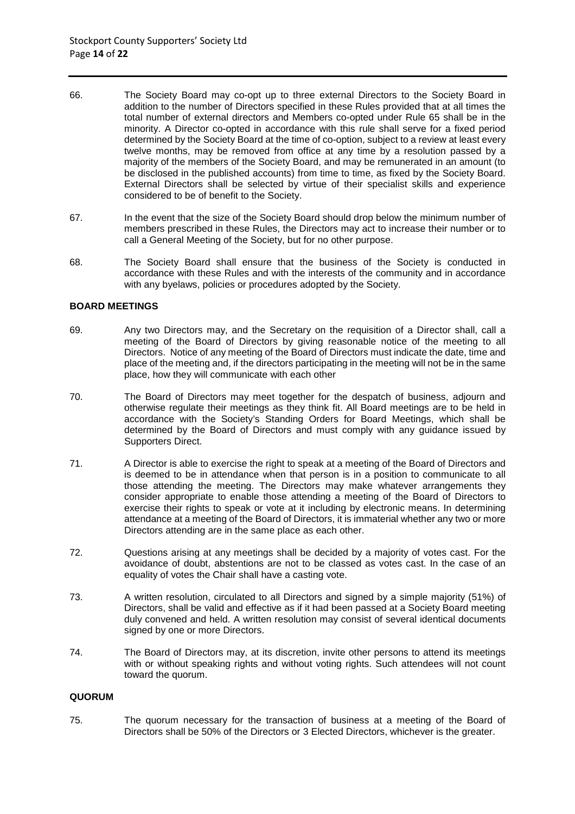- 66. The Society Board may co-opt up to three external Directors to the Society Board in addition to the number of Directors specified in these Rules provided that at all times the total number of external directors and Members co-opted under Rule 65 shall be in the minority. A Director co-opted in accordance with this rule shall serve for a fixed period determined by the Society Board at the time of co-option, subject to a review at least every twelve months, may be removed from office at any time by a resolution passed by a majority of the members of the Society Board, and may be remunerated in an amount (to be disclosed in the published accounts) from time to time, as fixed by the Society Board. External Directors shall be selected by virtue of their specialist skills and experience considered to be of benefit to the Society.
- 67. In the event that the size of the Society Board should drop below the minimum number of members prescribed in these Rules, the Directors may act to increase their number or to call a General Meeting of the Society, but for no other purpose.
- 68. The Society Board shall ensure that the business of the Society is conducted in accordance with these Rules and with the interests of the community and in accordance with any byelaws, policies or procedures adopted by the Society.

## **BOARD MEETINGS**

- 69. Any two Directors may, and the Secretary on the requisition of a Director shall, call a meeting of the Board of Directors by giving reasonable notice of the meeting to all Directors. Notice of any meeting of the Board of Directors must indicate the date, time and place of the meeting and, if the directors participating in the meeting will not be in the same place, how they will communicate with each other
- 70. The Board of Directors may meet together for the despatch of business, adjourn and otherwise regulate their meetings as they think fit. All Board meetings are to be held in accordance with the Society's Standing Orders for Board Meetings, which shall be determined by the Board of Directors and must comply with any guidance issued by Supporters Direct.
- 71. A Director is able to exercise the right to speak at a meeting of the Board of Directors and is deemed to be in attendance when that person is in a position to communicate to all those attending the meeting. The Directors may make whatever arrangements they consider appropriate to enable those attending a meeting of the Board of Directors to exercise their rights to speak or vote at it including by electronic means. In determining attendance at a meeting of the Board of Directors, it is immaterial whether any two or more Directors attending are in the same place as each other.
- 72. Questions arising at any meetings shall be decided by a majority of votes cast. For the avoidance of doubt, abstentions are not to be classed as votes cast. In the case of an equality of votes the Chair shall have a casting vote.
- 73. A written resolution, circulated to all Directors and signed by a simple majority (51%) of Directors, shall be valid and effective as if it had been passed at a Society Board meeting duly convened and held. A written resolution may consist of several identical documents signed by one or more Directors.
- 74. The Board of Directors may, at its discretion, invite other persons to attend its meetings with or without speaking rights and without voting rights. Such attendees will not count toward the quorum.

#### **QUORUM**

75. The quorum necessary for the transaction of business at a meeting of the Board of Directors shall be 50% of the Directors or 3 Elected Directors, whichever is the greater.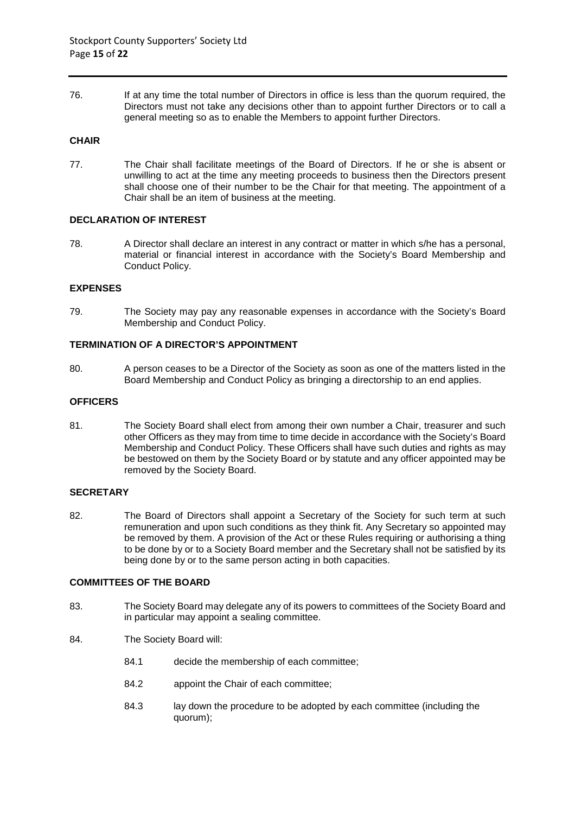76. If at any time the total number of Directors in office is less than the quorum required, the Directors must not take any decisions other than to appoint further Directors or to call a general meeting so as to enable the Members to appoint further Directors.

## **CHAIR**

77. The Chair shall facilitate meetings of the Board of Directors. If he or she is absent or unwilling to act at the time any meeting proceeds to business then the Directors present shall choose one of their number to be the Chair for that meeting. The appointment of a Chair shall be an item of business at the meeting.

## **DECLARATION OF INTEREST**

78. A Director shall declare an interest in any contract or matter in which s/he has a personal, material or financial interest in accordance with the Society's Board Membership and Conduct Policy.

## **EXPENSES**

79. The Society may pay any reasonable expenses in accordance with the Society's Board Membership and Conduct Policy.

## **TERMINATION OF A DIRECTOR'S APPOINTMENT**

80. A person ceases to be a Director of the Society as soon as one of the matters listed in the Board Membership and Conduct Policy as bringing a directorship to an end applies.

#### **OFFICERS**

81. The Society Board shall elect from among their own number a Chair, treasurer and such other Officers as they may from time to time decide in accordance with the Society's Board Membership and Conduct Policy. These Officers shall have such duties and rights as may be bestowed on them by the Society Board or by statute and any officer appointed may be removed by the Society Board.

## **SECRETARY**

82. The Board of Directors shall appoint a Secretary of the Society for such term at such remuneration and upon such conditions as they think fit. Any Secretary so appointed may be removed by them. A provision of the Act or these Rules requiring or authorising a thing to be done by or to a Society Board member and the Secretary shall not be satisfied by its being done by or to the same person acting in both capacities.

## **COMMITTEES OF THE BOARD**

- 83. The Society Board may delegate any of its powers to committees of the Society Board and in particular may appoint a sealing committee.
- 84. The Society Board will:
	- 84.1 decide the membership of each committee;
	- 84.2 appoint the Chair of each committee;
	- 84.3 lay down the procedure to be adopted by each committee (including the quorum);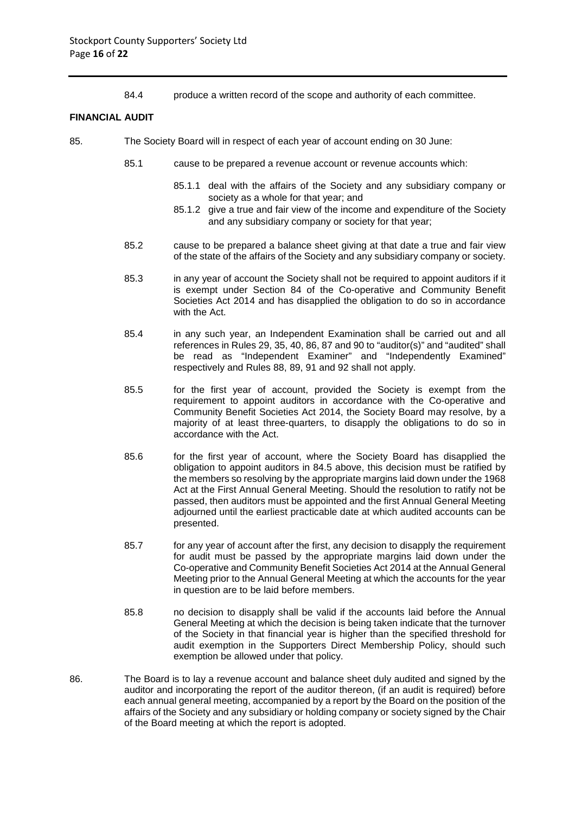84.4 produce a written record of the scope and authority of each committee.

#### **FINANCIAL AUDIT**

- 85. The Society Board will in respect of each year of account ending on 30 June:
	- 85.1 cause to be prepared a revenue account or revenue accounts which:
		- 85.1.1 deal with the affairs of the Society and any subsidiary company or society as a whole for that year; and
		- 85.1.2 give a true and fair view of the income and expenditure of the Society and any subsidiary company or society for that year;
	- 85.2 cause to be prepared a balance sheet giving at that date a true and fair view of the state of the affairs of the Society and any subsidiary company or society.
	- 85.3 in any year of account the Society shall not be required to appoint auditors if it is exempt under Section 84 of the Co-operative and Community Benefit Societies Act 2014 and has disapplied the obligation to do so in accordance with the Act.
	- 85.4 in any such year, an Independent Examination shall be carried out and all references in Rules 29, 35, 40, 86, 87 and 90 to "auditor(s)" and "audited" shall be read as "Independent Examiner" and "Independently Examined" respectively and Rules 88, 89, 91 and 92 shall not apply.
	- 85.5 for the first year of account, provided the Society is exempt from the requirement to appoint auditors in accordance with the Co-operative and Community Benefit Societies Act 2014, the Society Board may resolve, by a majority of at least three-quarters, to disapply the obligations to do so in accordance with the Act.
	- 85.6 for the first year of account, where the Society Board has disapplied the obligation to appoint auditors in 84.5 above, this decision must be ratified by the members so resolving by the appropriate margins laid down under the 1968 Act at the First Annual General Meeting. Should the resolution to ratify not be passed, then auditors must be appointed and the first Annual General Meeting adjourned until the earliest practicable date at which audited accounts can be presented.
	- 85.7 for any year of account after the first, any decision to disapply the requirement for audit must be passed by the appropriate margins laid down under the Co-operative and Community Benefit Societies Act 2014 at the Annual General Meeting prior to the Annual General Meeting at which the accounts for the year in question are to be laid before members.
	- 85.8 no decision to disapply shall be valid if the accounts laid before the Annual General Meeting at which the decision is being taken indicate that the turnover of the Society in that financial year is higher than the specified threshold for audit exemption in the Supporters Direct Membership Policy, should such exemption be allowed under that policy.
- 86. The Board is to lay a revenue account and balance sheet duly audited and signed by the auditor and incorporating the report of the auditor thereon, (if an audit is required) before each annual general meeting, accompanied by a report by the Board on the position of the affairs of the Society and any subsidiary or holding company or society signed by the Chair of the Board meeting at which the report is adopted.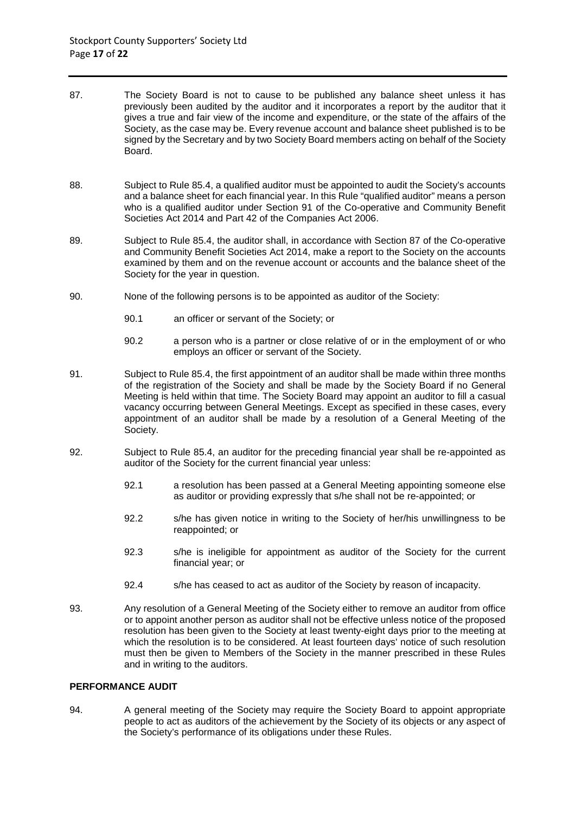- 87. The Society Board is not to cause to be published any balance sheet unless it has previously been audited by the auditor and it incorporates a report by the auditor that it gives a true and fair view of the income and expenditure, or the state of the affairs of the Society, as the case may be. Every revenue account and balance sheet published is to be signed by the Secretary and by two Society Board members acting on behalf of the Society Board.
- 88. Subject to Rule 85.4, a qualified auditor must be appointed to audit the Society's accounts and a balance sheet for each financial year. In this Rule "qualified auditor" means a person who is a qualified auditor under Section 91 of the Co-operative and Community Benefit Societies Act 2014 and Part 42 of the Companies Act 2006.
- 89. Subject to Rule 85.4, the auditor shall, in accordance with Section 87 of the Co-operative and Community Benefit Societies Act 2014, make a report to the Society on the accounts examined by them and on the revenue account or accounts and the balance sheet of the Society for the year in question.
- 90. None of the following persons is to be appointed as auditor of the Society:
	- 90.1 an officer or servant of the Society; or
	- 90.2 a person who is a partner or close relative of or in the employment of or who employs an officer or servant of the Society.
- 91. Subject to Rule 85.4, the first appointment of an auditor shall be made within three months of the registration of the Society and shall be made by the Society Board if no General Meeting is held within that time. The Society Board may appoint an auditor to fill a casual vacancy occurring between General Meetings. Except as specified in these cases, every appointment of an auditor shall be made by a resolution of a General Meeting of the Society.
- 92. Subject to Rule 85.4, an auditor for the preceding financial year shall be re-appointed as auditor of the Society for the current financial year unless:
	- 92.1 a resolution has been passed at a General Meeting appointing someone else as auditor or providing expressly that s/he shall not be re-appointed; or
	- 92.2 s/he has given notice in writing to the Society of her/his unwillingness to be reappointed; or
	- 92.3 s/he is ineligible for appointment as auditor of the Society for the current financial year; or
	- 92.4 s/he has ceased to act as auditor of the Society by reason of incapacity.
- 93. Any resolution of a General Meeting of the Society either to remove an auditor from office or to appoint another person as auditor shall not be effective unless notice of the proposed resolution has been given to the Society at least twenty-eight days prior to the meeting at which the resolution is to be considered. At least fourteen days' notice of such resolution must then be given to Members of the Society in the manner prescribed in these Rules and in writing to the auditors.

#### **PERFORMANCE AUDIT**

94. A general meeting of the Society may require the Society Board to appoint appropriate people to act as auditors of the achievement by the Society of its objects or any aspect of the Society's performance of its obligations under these Rules.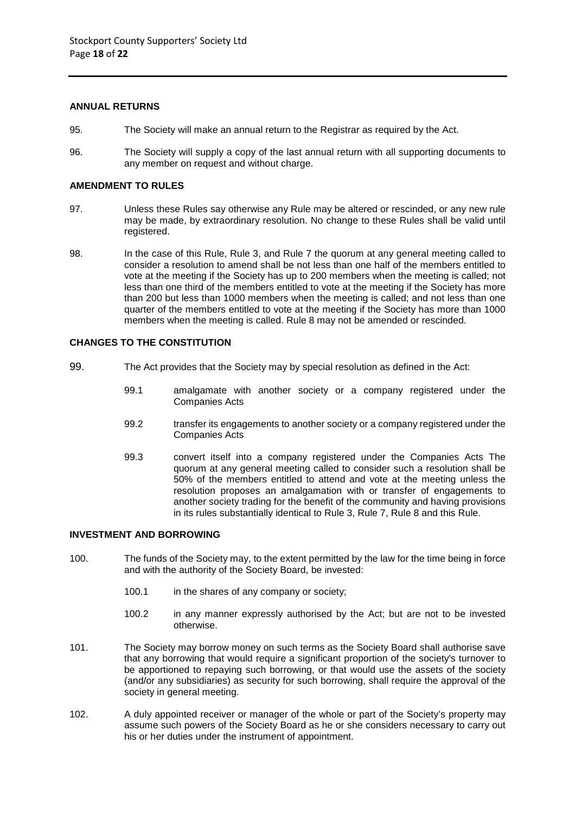#### **ANNUAL RETURNS**

- 95. The Society will make an annual return to the Registrar as required by the Act.
- 96. The Society will supply a copy of the last annual return with all supporting documents to any member on request and without charge.

## **AMENDMENT TO RULES**

- 97. Unless these Rules say otherwise any Rule may be altered or rescinded, or any new rule may be made, by extraordinary resolution. No change to these Rules shall be valid until registered.
- 98. In the case of this Rule, Rule 3, and Rule 7 the quorum at any general meeting called to consider a resolution to amend shall be not less than one half of the members entitled to vote at the meeting if the Society has up to 200 members when the meeting is called; not less than one third of the members entitled to vote at the meeting if the Society has more than 200 but less than 1000 members when the meeting is called; and not less than one quarter of the members entitled to vote at the meeting if the Society has more than 1000 members when the meeting is called. Rule 8 may not be amended or rescinded.

## **CHANGES TO THE CONSTITUTION**

- 99. The Act provides that the Society may by special resolution as defined in the Act:
	- 99.1 amalgamate with another society or a company registered under the Companies Acts
	- 99.2 transfer its engagements to another society or a company registered under the Companies Acts
	- 99.3 convert itself into a company registered under the Companies Acts The quorum at any general meeting called to consider such a resolution shall be 50% of the members entitled to attend and vote at the meeting unless the resolution proposes an amalgamation with or transfer of engagements to another society trading for the benefit of the community and having provisions in its rules substantially identical to Rule 3, Rule 7, Rule 8 and this Rule.

#### **INVESTMENT AND BORROWING**

- 100. The funds of the Society may, to the extent permitted by the law for the time being in force and with the authority of the Society Board, be invested:
	- 100.1 in the shares of any company or society;
	- 100.2 in any manner expressly authorised by the Act; but are not to be invested otherwise.
- 101. The Society may borrow money on such terms as the Society Board shall authorise save that any borrowing that would require a significant proportion of the society's turnover to be apportioned to repaying such borrowing, or that would use the assets of the society (and/or any subsidiaries) as security for such borrowing, shall require the approval of the society in general meeting.
- 102. A duly appointed receiver or manager of the whole or part of the Society's property may assume such powers of the Society Board as he or she considers necessary to carry out his or her duties under the instrument of appointment.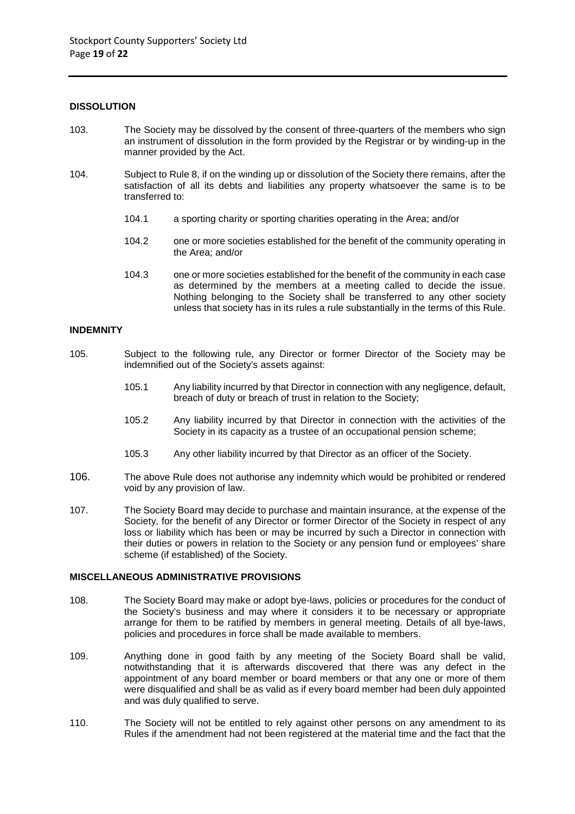#### **DISSOLUTION**

- 103. The Society may be dissolved by the consent of three-quarters of the members who sign an instrument of dissolution in the form provided by the Registrar or by winding-up in the manner provided by the Act.
- 104. Subject to Rule 8, if on the winding up or dissolution of the Society there remains, after the satisfaction of all its debts and liabilities any property whatsoever the same is to be transferred to:
	- 104.1 a sporting charity or sporting charities operating in the Area; and/or
	- 104.2 one or more societies established for the benefit of the community operating in the Area; and/or
	- 104.3 one or more societies established for the benefit of the community in each case as determined by the members at a meeting called to decide the issue. Nothing belonging to the Society shall be transferred to any other society unless that society has in its rules a rule substantially in the terms of this Rule.

# **INDEMNITY**

- 105. Subject to the following rule, any Director or former Director of the Society may be indemnified out of the Society's assets against:
	- 105.1 Any liability incurred by that Director in connection with any negligence, default, breach of duty or breach of trust in relation to the Society;
	- 105.2 Any liability incurred by that Director in connection with the activities of the Society in its capacity as a trustee of an occupational pension scheme;
	- 105.3 Any other liability incurred by that Director as an officer of the Society.
- 106. The above Rule does not authorise any indemnity which would be prohibited or rendered void by any provision of law.
- 107. The Society Board may decide to purchase and maintain insurance, at the expense of the Society, for the benefit of any Director or former Director of the Society in respect of any loss or liability which has been or may be incurred by such a Director in connection with their duties or powers in relation to the Society or any pension fund or employees' share scheme (if established) of the Society.

## **MISCELLANEOUS ADMINISTRATIVE PROVISIONS**

- 108. The Society Board may make or adopt bye-laws, policies or procedures for the conduct of the Society's business and may where it considers it to be necessary or appropriate arrange for them to be ratified by members in general meeting. Details of all bye-laws, policies and procedures in force shall be made available to members.
- 109. Anything done in good faith by any meeting of the Society Board shall be valid, notwithstanding that it is afterwards discovered that there was any defect in the appointment of any board member or board members or that any one or more of them were disqualified and shall be as valid as if every board member had been duly appointed and was duly qualified to serve.
- 110. The Society will not be entitled to rely against other persons on any amendment to its Rules if the amendment had not been registered at the material time and the fact that the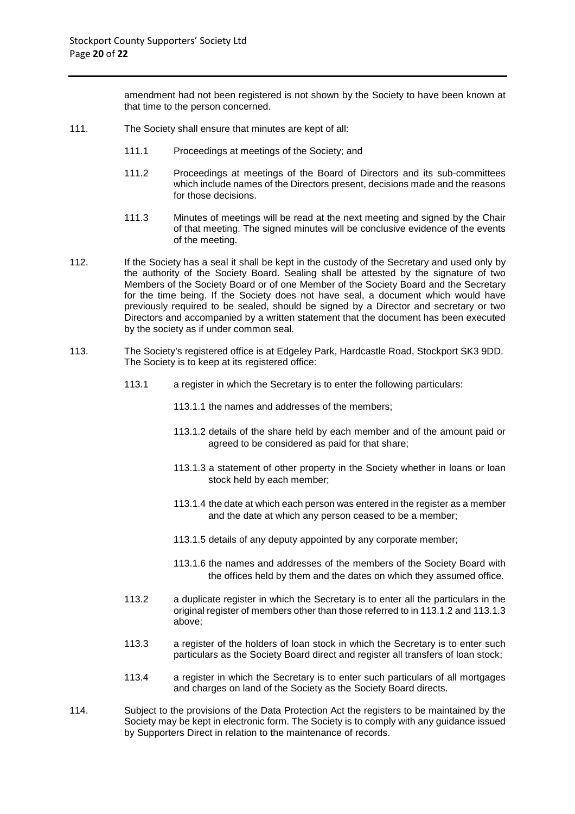amendment had not been registered is not shown by the Society to have been known at that time to the person concerned.

- 111. The Society shall ensure that minutes are kept of all:
	- 111.1 Proceedings at meetings of the Society; and
	- 111.2 Proceedings at meetings of the Board of Directors and its sub-committees which include names of the Directors present, decisions made and the reasons for those decisions.
	- 111.3 Minutes of meetings will be read at the next meeting and signed by the Chair of that meeting. The signed minutes will be conclusive evidence of the events of the meeting.
- 112. If the Society has a seal it shall be kept in the custody of the Secretary and used only by the authority of the Society Board. Sealing shall be attested by the signature of two Members of the Society Board or of one Member of the Society Board and the Secretary for the time being. If the Society does not have seal, a document which would have previously required to be sealed, should be signed by a Director and secretary or two Directors and accompanied by a written statement that the document has been executed by the society as if under common seal.
- 113. The Society's registered office is at Edgeley Park, Hardcastle Road, Stockport SK3 9DD. The Society is to keep at its registered office:
	- 113.1 a register in which the Secretary is to enter the following particulars:
		- 113.1.1 the names and addresses of the members;
		- 113.1.2 details of the share held by each member and of the amount paid or agreed to be considered as paid for that share;
		- 113.1.3 a statement of other property in the Society whether in loans or loan stock held by each member;
		- 113.1.4 the date at which each person was entered in the register as a member and the date at which any person ceased to be a member;
		- 113.1.5 details of any deputy appointed by any corporate member;
		- 113.1.6 the names and addresses of the members of the Society Board with the offices held by them and the dates on which they assumed office.
	- 113.2 a duplicate register in which the Secretary is to enter all the particulars in the original register of members other than those referred to in 113.1.2 and 113.1.3 above;
	- 113.3 a register of the holders of loan stock in which the Secretary is to enter such particulars as the Society Board direct and register all transfers of loan stock;
	- 113.4 a register in which the Secretary is to enter such particulars of all mortgages and charges on land of the Society as the Society Board directs.
- 114. Subject to the provisions of the Data Protection Act the registers to be maintained by the Society may be kept in electronic form. The Society is to comply with any guidance issued by Supporters Direct in relation to the maintenance of records.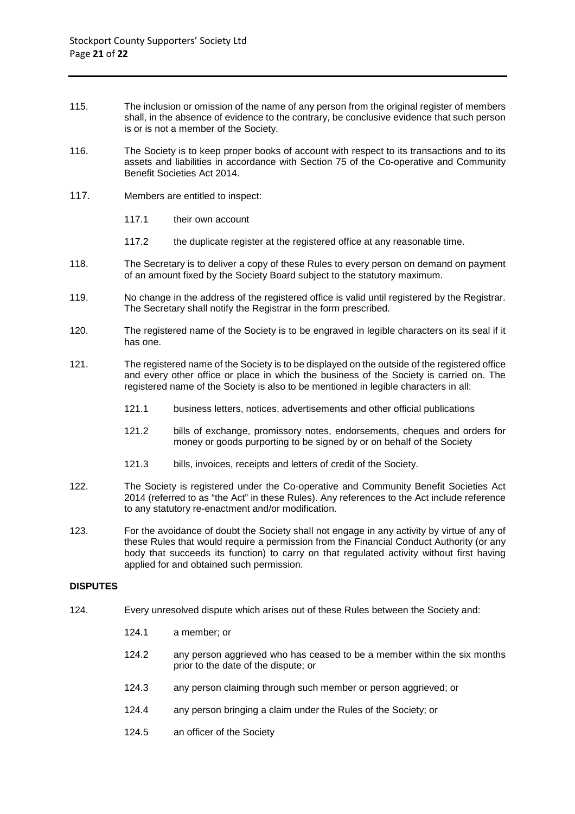- 115. The inclusion or omission of the name of any person from the original register of members shall, in the absence of evidence to the contrary, be conclusive evidence that such person is or is not a member of the Society.
- 116. The Society is to keep proper books of account with respect to its transactions and to its assets and liabilities in accordance with Section 75 of the Co-operative and Community Benefit Societies Act 2014.
- 117. Members are entitled to inspect:
	- 117.1 their own account
	- 117.2 the duplicate register at the registered office at any reasonable time.
- 118. The Secretary is to deliver a copy of these Rules to every person on demand on payment of an amount fixed by the Society Board subject to the statutory maximum.
- 119. No change in the address of the registered office is valid until registered by the Registrar. The Secretary shall notify the Registrar in the form prescribed.
- 120. The registered name of the Society is to be engraved in legible characters on its seal if it has one.
- 121. The registered name of the Society is to be displayed on the outside of the registered office and every other office or place in which the business of the Society is carried on. The registered name of the Society is also to be mentioned in legible characters in all:
	- 121.1 business letters, notices, advertisements and other official publications
	- 121.2 bills of exchange, promissory notes, endorsements, cheques and orders for money or goods purporting to be signed by or on behalf of the Society
	- 121.3 bills, invoices, receipts and letters of credit of the Society.
- 122. The Society is registered under the Co-operative and Community Benefit Societies Act 2014 (referred to as "the Act" in these Rules). Any references to the Act include reference to any statutory re-enactment and/or modification.
- 123. For the avoidance of doubt the Society shall not engage in any activity by virtue of any of these Rules that would require a permission from the Financial Conduct Authority (or any body that succeeds its function) to carry on that regulated activity without first having applied for and obtained such permission.

#### **DISPUTES**

- 124. Every unresolved dispute which arises out of these Rules between the Society and:
	- 124.1 a member; or
	- 124.2 any person aggrieved who has ceased to be a member within the six months prior to the date of the dispute; or
	- 124.3 any person claiming through such member or person aggrieved; or
	- 124.4 any person bringing a claim under the Rules of the Society; or
	- 124.5 an officer of the Society